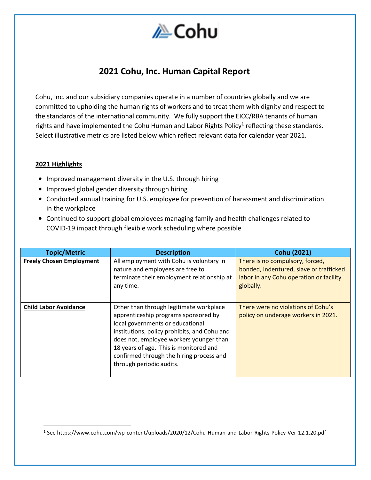

# **2021 Cohu, Inc. Human Capital Report**

Cohu, Inc. and our subsidiary companies operate in a number of countries globally and we are committed to upholding the human rights of workers and to treat them with dignity and respect to the standards of the international community. We fully support the EICC/RBA tenants of human rights and have implemented the Cohu Human and Labor Rights Policy<sup>1</sup> reflecting these standards. Select illustrative metrics are listed below which reflect relevant data for calendar year 2021.

#### **2021 Highlights**

- Improved management diversity in the U.S. through hiring
- Improved global gender diversity through hiring
- Conducted annual training for U.S. employee for prevention of harassment and discrimination in the workplace
- Continued to support global employees managing family and health challenges related to COVID-19 impact through flexible work scheduling where possible

| <b>Topic/Metric</b>             | <b>Description</b>                                                                                                                                                                                                                                                                                                               | <b>Cohu (2021)</b>                                                                                                                 |
|---------------------------------|----------------------------------------------------------------------------------------------------------------------------------------------------------------------------------------------------------------------------------------------------------------------------------------------------------------------------------|------------------------------------------------------------------------------------------------------------------------------------|
| <b>Freely Chosen Employment</b> | All employment with Cohu is voluntary in<br>nature and employees are free to<br>terminate their employment relationship at<br>any time.                                                                                                                                                                                          | There is no compulsory, forced,<br>bonded, indentured, slave or trafficked<br>labor in any Cohu operation or facility<br>globally. |
| <b>Child Labor Avoidance</b>    | Other than through legitimate workplace<br>apprenticeship programs sponsored by<br>local governments or educational<br>institutions, policy prohibits, and Cohu and<br>does not, employee workers younger than<br>18 years of age. This is monitored and<br>confirmed through the hiring process and<br>through periodic audits. | There were no violations of Cohu's<br>policy on underage workers in 2021.                                                          |

<sup>1</sup> See https://www.cohu.com/wp-content/uploads/2020/12/Cohu-Human-and-Labor-Rights-Policy-Ver-12.1.20.pdf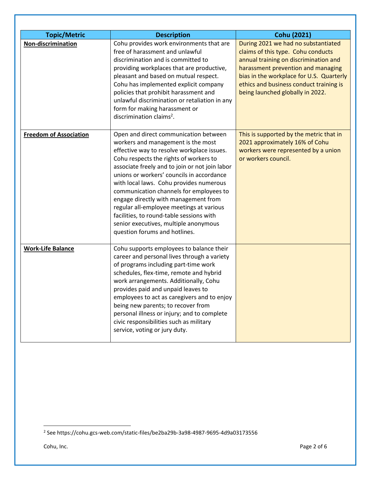| <b>Topic/Metric</b>           | <b>Description</b>                                                                                                                                                                                                                                                                                                                                                                                                                                                                                                                                                 | Cohu (2021)                                                                                                                                                                                                                                                                         |
|-------------------------------|--------------------------------------------------------------------------------------------------------------------------------------------------------------------------------------------------------------------------------------------------------------------------------------------------------------------------------------------------------------------------------------------------------------------------------------------------------------------------------------------------------------------------------------------------------------------|-------------------------------------------------------------------------------------------------------------------------------------------------------------------------------------------------------------------------------------------------------------------------------------|
| Non-discrimination            | Cohu provides work environments that are<br>free of harassment and unlawful<br>discrimination and is committed to<br>providing workplaces that are productive,<br>pleasant and based on mutual respect.<br>Cohu has implemented explicit company<br>policies that prohibit harassment and<br>unlawful discrimination or retaliation in any<br>form for making harassment or<br>discrimination claims <sup>2</sup> .                                                                                                                                                | During 2021 we had no substantiated<br>claims of this type. Cohu conducts<br>annual training on discrimination and<br>harassment prevention and managing<br>bias in the workplace for U.S. Quarterly<br>ethics and business conduct training is<br>being launched globally in 2022. |
| <b>Freedom of Association</b> | Open and direct communication between<br>workers and management is the most<br>effective way to resolve workplace issues.<br>Cohu respects the rights of workers to<br>associate freely and to join or not join labor<br>unions or workers' councils in accordance<br>with local laws. Cohu provides numerous<br>communication channels for employees to<br>engage directly with management from<br>regular all-employee meetings at various<br>facilities, to round-table sessions with<br>senior executives, multiple anonymous<br>question forums and hotlines. | This is supported by the metric that in<br>2021 approximately 16% of Cohu<br>workers were represented by a union<br>or workers council.                                                                                                                                             |
| <b>Work-Life Balance</b>      | Cohu supports employees to balance their<br>career and personal lives through a variety<br>of programs including part-time work<br>schedules, flex-time, remote and hybrid<br>work arrangements. Additionally, Cohu<br>provides paid and unpaid leaves to<br>employees to act as caregivers and to enjoy<br>being new parents; to recover from<br>personal illness or injury; and to complete<br>civic responsibilities such as military<br>service, voting or jury duty.                                                                                          |                                                                                                                                                                                                                                                                                     |

<sup>2</sup> See https://cohu.gcs-web.com/static-files/be2ba29b-3a98-4987-9695-4d9a03173556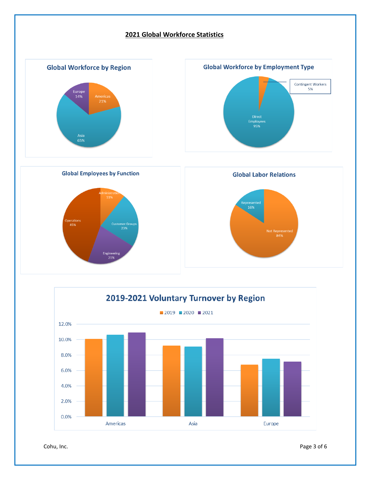



Cohu, Inc. Page 3 of 6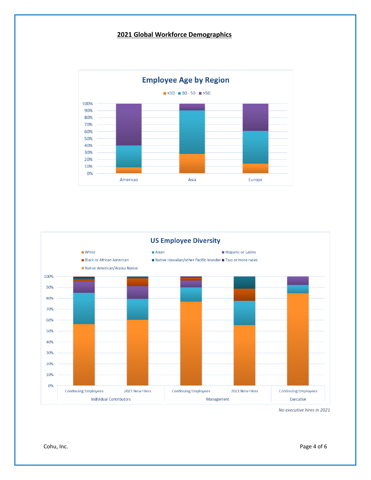## **2021 Global Workforce Demographics**





*No executive hires in 2021*

Cohu, Inc. Page 4 of 6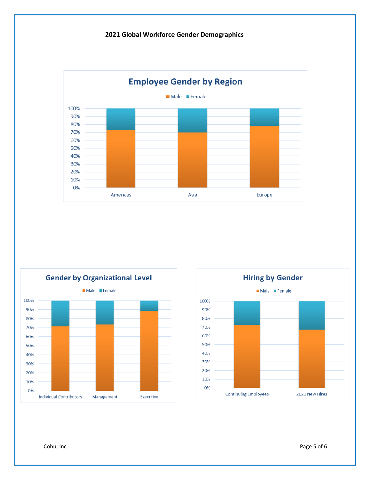## **2021 Global Workforce Gender Demographics**